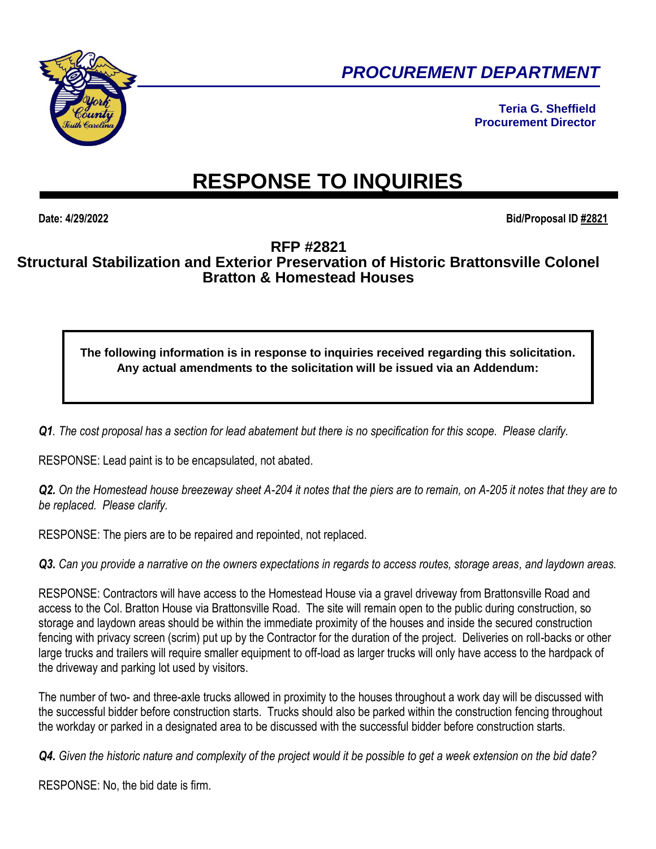

*PROCUREMENT DEPARTMENT* 

**Teria G. Sheffield Procurement Director**

## **RESPONSE TO INQUIRIES**

**Date: 4/29/2022 Bid/Proposal ID #2821**

## **RFP #2821 Structural Stabilization and Exterior Preservation of Historic Brattonsville Colonel Bratton & Homestead Houses**

## **The following information is in response to inquiries received regarding this solicitation. Any actual amendments to the solicitation will be issued via an Addendum:**

*Q1. The cost proposal has a section for lead abatement but there is no specification for this scope. Please clarify.*

RESPONSE: Lead paint is to be encapsulated, not abated.

*Q2. On the Homestead house breezeway sheet A-204 it notes that the piers are to remain, on A-205 it notes that they are to be replaced. Please clarify.*

RESPONSE: The piers are to be repaired and repointed, not replaced.

*Q3. Can you provide a narrative on the owners expectations in regards to access routes, storage areas, and laydown areas.*

RESPONSE: Contractors will have access to the Homestead House via a gravel driveway from Brattonsville Road and access to the Col. Bratton House via Brattonsville Road. The site will remain open to the public during construction, so storage and laydown areas should be within the immediate proximity of the houses and inside the secured construction fencing with privacy screen (scrim) put up by the Contractor for the duration of the project. Deliveries on roll-backs or other large trucks and trailers will require smaller equipment to off-load as larger trucks will only have access to the hardpack of the driveway and parking lot used by visitors.

The number of two- and three-axle trucks allowed in proximity to the houses throughout a work day will be discussed with the successful bidder before construction starts. Trucks should also be parked within the construction fencing throughout the workday or parked in a designated area to be discussed with the successful bidder before construction starts.

*Q4. Given the historic nature and complexity of the project would it be possible to get a week extension on the bid date?*

RESPONSE: No, the bid date is firm.